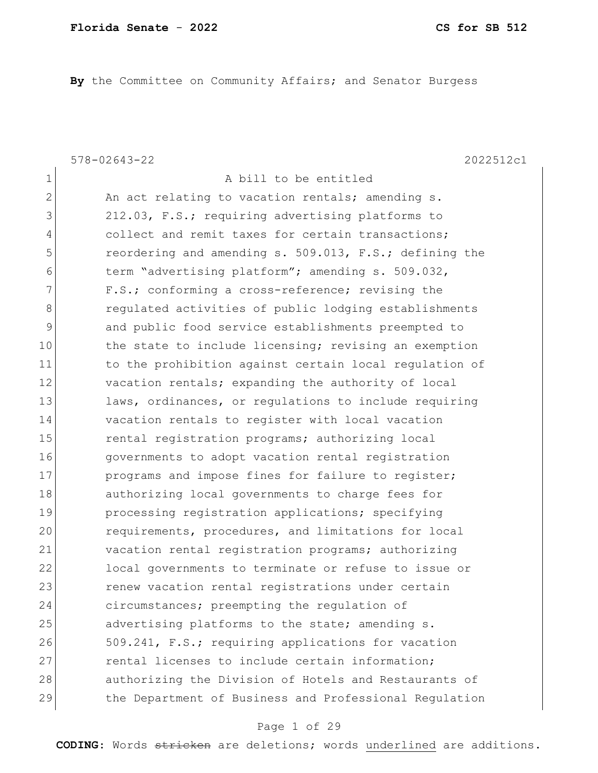**By** the Committee on Community Affairs; and Senator Burgess

1 A bill to be entitled

578-02643-22 2022512c1

2 An act relating to vacation rentals; amending s. 3 212.03, F.S.; requiring advertising platforms to 4 collect and remit taxes for certain transactions; 5 reordering and amending s. 509.013, F.S.; defining the 6 term "advertising platform"; amending s. 509.032, 7 F.S.; conforming a cross-reference; revising the 8 **8 regulated activities of public lodging establishments** 9 and public food service establishments preempted to 10 the state to include licensing; revising an exemption 11 to the prohibition against certain local regulation of 12 vacation rentals; expanding the authority of local 13 laws, ordinances, or regulations to include requiring 14 vacation rentals to register with local vacation 15 rental registration programs; authorizing local 16 governments to adopt vacation rental registration 17 **programs and impose fines for failure to register;** 18 authorizing local governments to charge fees for 19 processing registration applications; specifying 20 requirements, procedures, and limitations for local 21 vacation rental registration programs; authorizing 22 local governments to terminate or refuse to issue or 23 **renew vacation rental registrations under certain** 24 circumstances; preempting the regulation of 25 advertising platforms to the state; amending s. 26 509.241, F.S.; requiring applications for vacation 27 **rental licenses to include certain information;** 28 authorizing the Division of Hotels and Restaurants of 29 the Department of Business and Professional Regulation

#### Page 1 of 29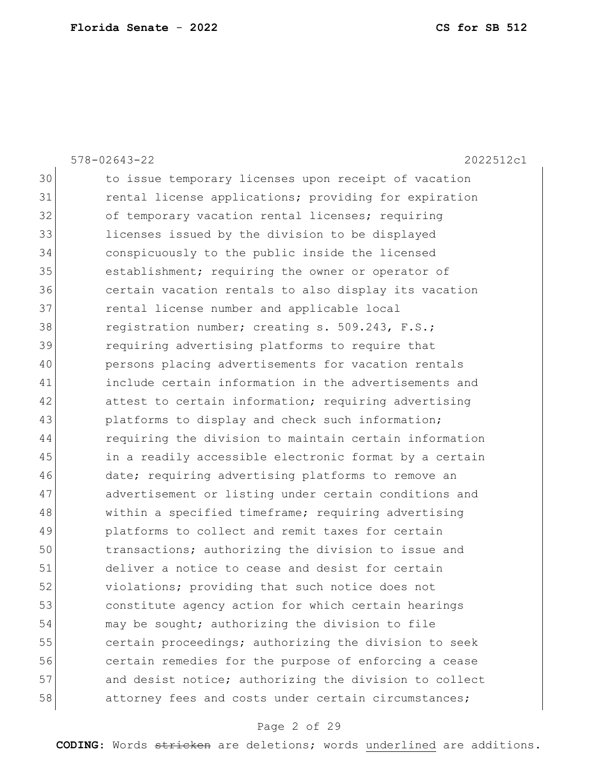| $578 - 02643 - 22$<br>2022512c1                        |
|--------------------------------------------------------|
| to issue temporary licenses upon receipt of vacation   |
| rental license applications; providing for expiration  |
| of temporary vacation rental licenses; requiring       |
| licenses issued by the division to be displayed        |
| conspicuously to the public inside the licensed        |
| establishment; requiring the owner or operator of      |
| certain vacation rentals to also display its vacation  |
| rental license number and applicable local             |
| registration number; creating s. 509.243, F.S.;        |
| requiring advertising platforms to require that        |
| persons placing advertisements for vacation rentals    |
| include certain information in the advertisements and  |
| attest to certain information; requiring advertising   |
| platforms to display and check such information;       |
| requiring the division to maintain certain information |
| in a readily accessible electronic format by a certain |
| date; requiring advertising platforms to remove an     |
| advertisement or listing under certain conditions and  |
| within a specified timeframe; requiring advertising    |
| platforms to collect and remit taxes for certain       |
| transactions; authorizing the division to issue and    |
| deliver a notice to cease and desist for certain       |
| violations; providing that such notice does not        |
| constitute agency action for which certain hearings    |
| may be sought; authorizing the division to file        |
| certain proceedings; authorizing the division to seek  |
| certain remedies for the purpose of enforcing a cease  |
| and desist notice; authorizing the division to collect |
| attorney fees and costs under certain circumstances;   |
|                                                        |

# Page 2 of 29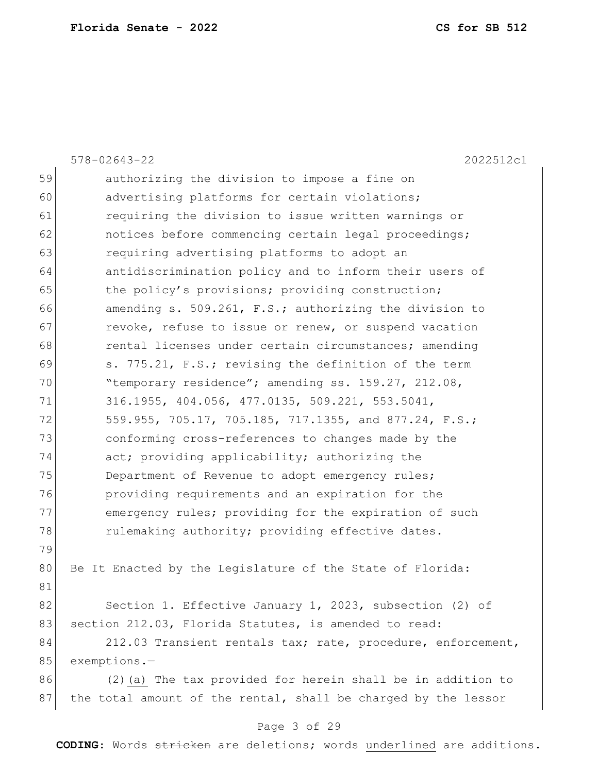|    | $578 - 02643 - 22$<br>2022512c1                                |
|----|----------------------------------------------------------------|
| 59 | authorizing the division to impose a fine on                   |
| 60 | advertising platforms for certain violations;                  |
| 61 | requiring the division to issue written warnings or            |
| 62 | notices before commencing certain legal proceedings;           |
| 63 | requiring advertising platforms to adopt an                    |
| 64 | antidiscrimination policy and to inform their users of         |
| 65 | the policy's provisions; providing construction;               |
| 66 | amending s. 509.261, F.S.; authorizing the division to         |
| 67 | revoke, refuse to issue or renew, or suspend vacation          |
| 68 | rental licenses under certain circumstances; amending          |
| 69 | s. 775.21, F.S.; revising the definition of the term           |
| 70 | "temporary residence"; amending ss. 159.27, 212.08,            |
| 71 | 316.1955, 404.056, 477.0135, 509.221, 553.5041,                |
| 72 | 559.955, 705.17, 705.185, 717.1355, and 877.24, F.S.;          |
| 73 | conforming cross-references to changes made by the             |
| 74 | act; providing applicability; authorizing the                  |
| 75 | Department of Revenue to adopt emergency rules;                |
| 76 | providing requirements and an expiration for the               |
| 77 | emergency rules; providing for the expiration of such          |
| 78 | rulemaking authority; providing effective dates.               |
| 79 |                                                                |
| 80 | Be It Enacted by the Legislature of the State of Florida:      |
| 81 |                                                                |
| 82 | Section 1. Effective January 1, 2023, subsection (2) of        |
| 83 | section 212.03, Florida Statutes, is amended to read:          |
| 84 | 212.03 Transient rentals tax; rate, procedure, enforcement,    |
| 85 | $exemptions.$ -                                                |
| 86 | (2) (a) The tax provided for herein shall be in addition to    |
| 87 | the total amount of the rental, shall be charged by the lessor |
|    |                                                                |

# Page 3 of 29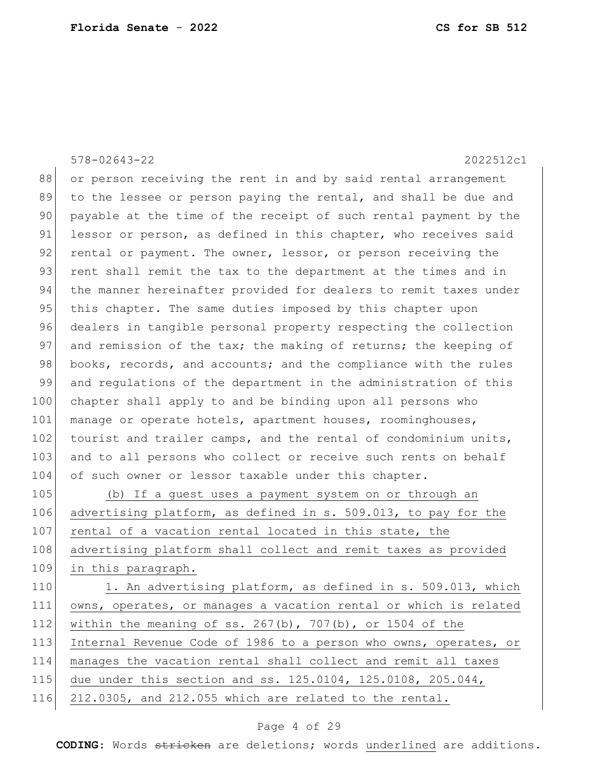|     | $578 - 02643 - 22$<br>2022512c1                                  |
|-----|------------------------------------------------------------------|
| 88  | or person receiving the rent in and by said rental arrangement   |
| 89  | to the lessee or person paying the rental, and shall be due and  |
| 90  | payable at the time of the receipt of such rental payment by the |
| 91  | lessor or person, as defined in this chapter, who receives said  |
| 92  | rental or payment. The owner, lessor, or person receiving the    |
| 93  | rent shall remit the tax to the department at the times and in   |
| 94  | the manner hereinafter provided for dealers to remit taxes under |
| 95  | this chapter. The same duties imposed by this chapter upon       |
| 96  | dealers in tangible personal property respecting the collection  |
| 97  | and remission of the tax; the making of returns; the keeping of  |
| 98  | books, records, and accounts; and the compliance with the rules  |
| 99  | and regulations of the department in the administration of this  |
| 100 | chapter shall apply to and be binding upon all persons who       |
| 101 | manage or operate hotels, apartment houses, roominghouses,       |
| 102 | tourist and trailer camps, and the rental of condominium units,  |
| 103 | and to all persons who collect or receive such rents on behalf   |
| 104 | of such owner or lessor taxable under this chapter.              |
| 105 | (b) If a guest uses a payment system on or through an            |
| 106 | advertising platform, as defined in s. 509.013, to pay for the   |
| 107 | rental of a vacation rental located in this state, the           |
| 108 | advertising platform shall collect and remit taxes as provided   |
| 109 | in this paragraph.                                               |
| 110 | 1. An advertising platform, as defined in s. 509.013, which      |
| 111 | owns, operates, or manages a vacation rental or which is related |
| 112 | within the meaning of ss. $267(b)$ , $707(b)$ , or 1504 of the   |
| 113 | Internal Revenue Code of 1986 to a person who owns, operates, or |
| 114 | manages the vacation rental shall collect and remit all taxes    |
| 115 | due under this section and ss. 125.0104, 125.0108, 205.044,      |
| 116 | 212.0305, and 212.055 which are related to the rental.           |
|     |                                                                  |

# Page 4 of 29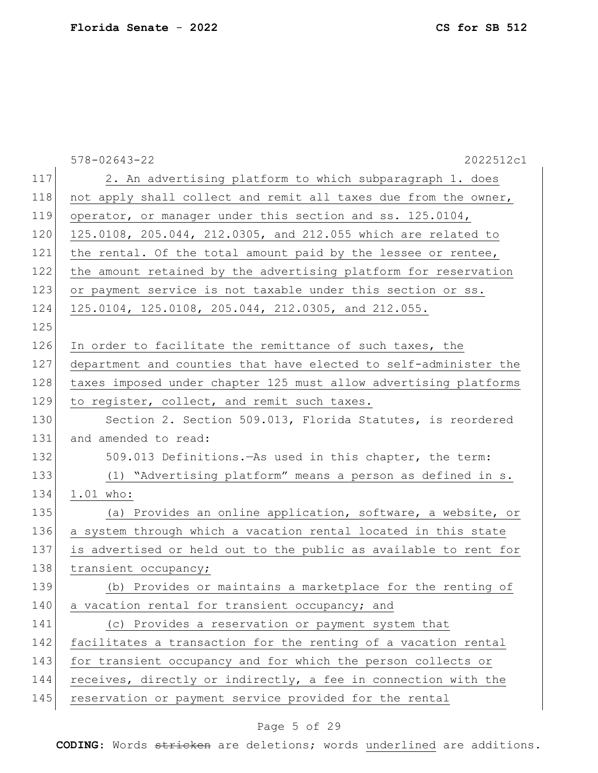|     | $578 - 02643 - 22$<br>2022512c1                                  |
|-----|------------------------------------------------------------------|
| 117 | 2. An advertising platform to which subparagraph 1. does         |
| 118 | not apply shall collect and remit all taxes due from the owner,  |
| 119 | operator, or manager under this section and ss. 125.0104,        |
| 120 | 125.0108, 205.044, 212.0305, and 212.055 which are related to    |
| 121 | the rental. Of the total amount paid by the lessee or rentee,    |
| 122 | the amount retained by the advertising platform for reservation  |
| 123 | or payment service is not taxable under this section or ss.      |
| 124 | 125.0104, 125.0108, 205.044, 212.0305, and 212.055.              |
| 125 |                                                                  |
| 126 | In order to facilitate the remittance of such taxes, the         |
| 127 | department and counties that have elected to self-administer the |
| 128 | taxes imposed under chapter 125 must allow advertising platforms |
| 129 | to register, collect, and remit such taxes.                      |
| 130 | Section 2. Section 509.013, Florida Statutes, is reordered       |
| 131 | and amended to read:                                             |
| 132 | 509.013 Definitions. - As used in this chapter, the term:        |
| 133 | (1) "Advertising platform" means a person as defined in s.       |
| 134 | 1.01 who:                                                        |
| 135 | (a) Provides an online application, software, a website, or      |
| 136 | a system through which a vacation rental located in this state   |
| 137 | is advertised or held out to the public as available to rent for |
| 138 | transient occupancy;                                             |
| 139 | (b) Provides or maintains a marketplace for the renting of       |
| 140 | a vacation rental for transient occupancy; and                   |
| 141 | (c) Provides a reservation or payment system that                |
| 142 | facilitates a transaction for the renting of a vacation rental   |
| 143 | for transient occupancy and for which the person collects or     |
| 144 | receives, directly or indirectly, a fee in connection with the   |
| 145 | reservation or payment service provided for the rental           |
|     |                                                                  |

# Page 5 of 29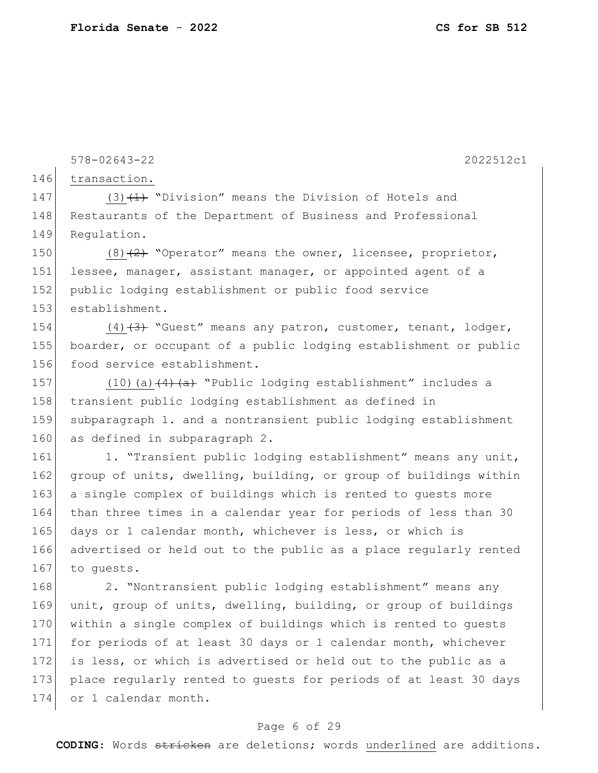146 transaction. 147 (3)  $(1)$  "Division" means the Division of Hotels and 148 Restaurants of the Department of Business and Professional 149 Regulation. 150 (8)<del>(2)</del> "Operator" means the owner, licensee, proprietor, 151 lessee, manager, assistant manager, or appointed agent of a 152 public lodging establishment or public food service 153 establishment. 154 (4) $\left(4\right)$  "Guest" means any patron, customer, tenant, lodger, 155 boarder, or occupant of a public lodging establishment or public 156 food service establishment. 157 (10)(a) $\frac{(4)}{(a+1)}$  "Public lodging establishment" includes a 158 transient public lodging establishment as defined in 159 subparagraph 1. and a nontransient public lodging establishment 160 as defined in subparagraph 2. 161 1. "Transient public lodging establishment" means any unit,

578-02643-22 2022512c1

162 group of units, dwelling, building, or group of buildings within 163 a single complex of buildings which is rented to guests more 164 than three times in a calendar year for periods of less than 30 165 days or 1 calendar month, whichever is less, or which is 166 advertised or held out to the public as a place regularly rented 167 to quests.

168 2. "Nontransient public lodging establishment" means any 169 unit, group of units, dwelling, building, or group of buildings 170 within a single complex of buildings which is rented to quests 171 for periods of at least 30 days or 1 calendar month, whichever 172 is less, or which is advertised or held out to the public as a 173 place regularly rented to guests for periods of at least 30 days 174 or 1 calendar month.

#### Page 6 of 29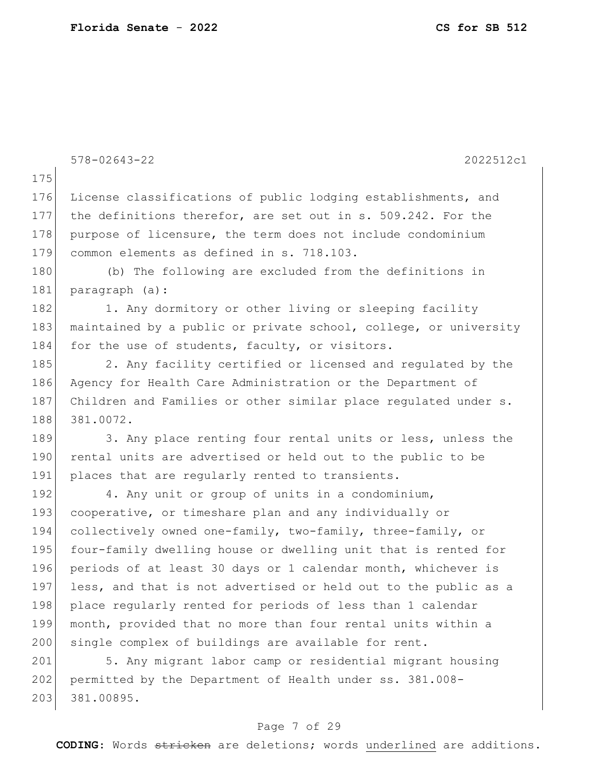|     | $578 - 02643 - 22$<br>2022512c1                                  |
|-----|------------------------------------------------------------------|
| 175 |                                                                  |
| 176 | License classifications of public lodging establishments, and    |
| 177 | the definitions therefor, are set out in s. 509.242. For the     |
| 178 | purpose of licensure, the term does not include condominium      |
| 179 | common elements as defined in s. 718.103.                        |
| 180 | (b) The following are excluded from the definitions in           |
| 181 | paragraph (a):                                                   |
| 182 | 1. Any dormitory or other living or sleeping facility            |
| 183 | maintained by a public or private school, college, or university |
| 184 | for the use of students, faculty, or visitors.                   |
| 185 | 2. Any facility certified or licensed and regulated by the       |
| 186 | Agency for Health Care Administration or the Department of       |
| 187 | Children and Families or other similar place regulated under s.  |
| 188 | 381.0072.                                                        |
| 189 | 3. Any place renting four rental units or less, unless the       |
| 190 | rental units are advertised or held out to the public to be      |
| 191 | places that are regularly rented to transients.                  |
| 192 | 4. Any unit or group of units in a condominium,                  |
| 193 | cooperative, or timeshare plan and any individually or           |
| 194 | collectively owned one-family, two-family, three-family, or      |
| 195 | four-family dwelling house or dwelling unit that is rented for   |
| 196 | periods of at least 30 days or 1 calendar month, whichever is    |
| 197 | less, and that is not advertised or held out to the public as a  |
| 198 | place regularly rented for periods of less than 1 calendar       |
| 199 | month, provided that no more than four rental units within a     |
| 200 | single complex of buildings are available for rent.              |
| 201 | 5. Any migrant labor camp or residential migrant housing         |
| 202 | permitted by the Department of Health under ss. 381.008-         |
| 203 | 381.00895.                                                       |
|     |                                                                  |

# Page 7 of 29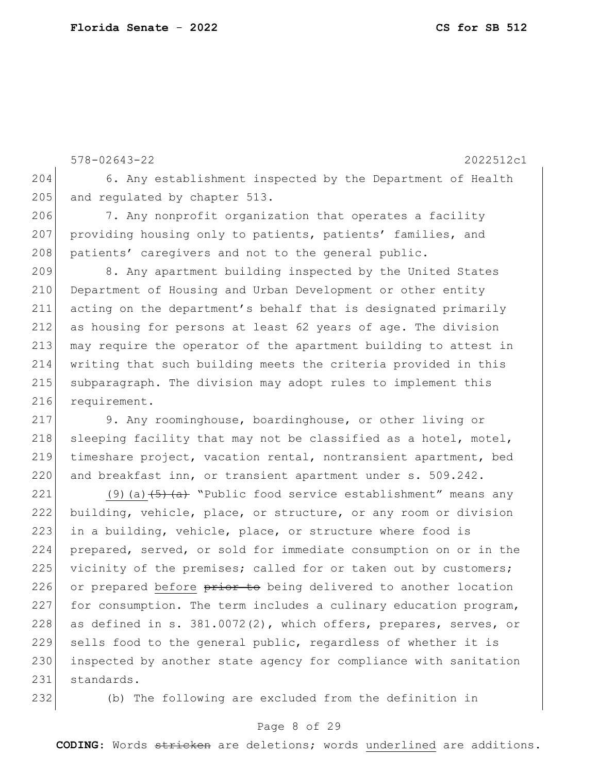578-02643-22 2022512c1 204 6. Any establishment inspected by the Department of Health 205 and regulated by chapter 513. 206 7. Any nonprofit organization that operates a facility 207 providing housing only to patients, patients' families, and 208 patients' caregivers and not to the general public. 209 8. Any apartment building inspected by the United States 210 Department of Housing and Urban Development or other entity 211 acting on the department's behalf that is designated primarily  $212$  as housing for persons at least 62 years of age. The division 213 may require the operator of the apartment building to attest in 214 writing that such building meets the criteria provided in this 215 subparagraph. The division may adopt rules to implement this 216 requirement. 217 9. Any roominghouse, boardinghouse, or other living or

218 sleeping facility that may not be classified as a hotel, motel, 219 timeshare project, vacation rental, nontransient apartment, bed 220 and breakfast inn, or transient apartment under s. 509.242.

221 (9)(a)  $\left(5\right)$  (a)  $\left(6\right)$  "Public food service establishment" means any 222 building, vehicle, place, or structure, or any room or division 223 in a building, vehicle, place, or structure where food is 224 prepared, served, or sold for immediate consumption on or in the 225 vicinity of the premises; called for or taken out by customers; 226 or prepared before  $\frac{p}{p}$  and  $p$  being delivered to another location 227 for consumption. The term includes a culinary education program, 228 as defined in s.  $381.0072(2)$ , which offers, prepares, serves, or 229 sells food to the general public, regardless of whether it is 230 inspected by another state agency for compliance with sanitation 231 standards.

232 (b) The following are excluded from the definition in

#### Page 8 of 29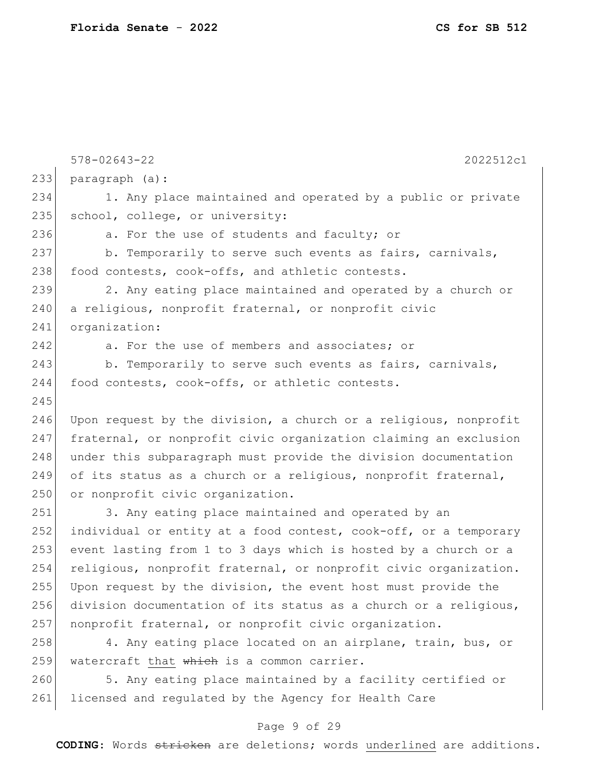|     | $578 - 02643 - 22$<br>2022512c1                                  |
|-----|------------------------------------------------------------------|
| 233 | paragraph (a):                                                   |
| 234 | 1. Any place maintained and operated by a public or private      |
| 235 | school, college, or university:                                  |
| 236 | a. For the use of students and faculty; or                       |
| 237 | b. Temporarily to serve such events as fairs, carnivals,         |
| 238 | food contests, cook-offs, and athletic contests.                 |
| 239 | 2. Any eating place maintained and operated by a church or       |
| 240 | a religious, nonprofit fraternal, or nonprofit civic             |
| 241 | organization:                                                    |
| 242 | a. For the use of members and associates; or                     |
| 243 | b. Temporarily to serve such events as fairs, carnivals,         |
| 244 | food contests, cook-offs, or athletic contests.                  |
| 245 |                                                                  |
| 246 | Upon request by the division, a church or a religious, nonprofit |
| 247 | fraternal, or nonprofit civic organization claiming an exclusion |
| 248 | under this subparagraph must provide the division documentation  |
| 249 | of its status as a church or a religious, nonprofit fraternal,   |
| 250 | or nonprofit civic organization.                                 |
| 251 | 3. Any eating place maintained and operated by an                |
| 252 | individual or entity at a food contest, cook-off, or a temporary |
| 253 | event lasting from 1 to 3 days which is hosted by a church or a  |
| 254 | religious, nonprofit fraternal, or nonprofit civic organization. |
| 255 | Upon request by the division, the event host must provide the    |
| 256 | division documentation of its status as a church or a religious, |
| 257 | nonprofit fraternal, or nonprofit civic organization.            |
| 258 | 4. Any eating place located on an airplane, train, bus, or       |
| 259 | watercraft that which is a common carrier.                       |
| 260 | 5. Any eating place maintained by a facility certified or        |
| 261 | licensed and regulated by the Agency for Health Care             |

# Page 9 of 29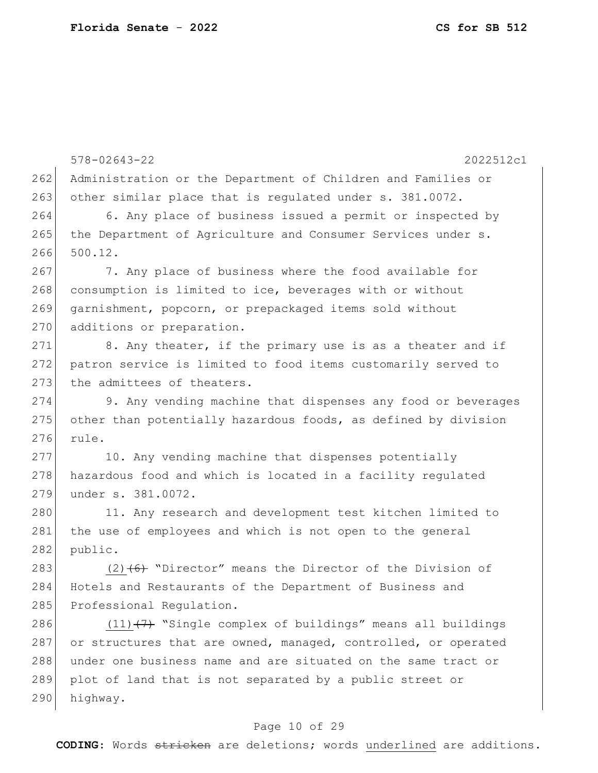578-02643-22 2022512c1 262 Administration or the Department of Children and Families or 263 other similar place that is regulated under s. 381.0072. 264 6. Any place of business issued a permit or inspected by 265 | the Department of Agriculture and Consumer Services under s. 266 500.12. 267 7. Any place of business where the food available for 268 consumption is limited to ice, beverages with or without 269 garnishment, popcorn, or prepackaged items sold without 270 additions or preparation.  $271$  8. Any theater, if the primary use is as a theater and if 272 patron service is limited to food items customarily served to 273 the admittees of theaters. 274 9. Any vending machine that dispenses any food or beverages  $275$  other than potentially hazardous foods, as defined by division 276 rule. 277 10. Any vending machine that dispenses potentially 278 hazardous food and which is located in a facility regulated 279 under s. 381.0072. 280 11. Any research and development test kitchen limited to 281 the use of employees and which is not open to the general 282 public. 283 (2) $(6)$  "Director" means the Director of the Division of 284 Hotels and Restaurants of the Department of Business and 285 Professional Requlation. 286  $(11)$ (7) "Single complex of buildings" means all buildings 287 or structures that are owned, managed, controlled, or operated 288 under one business name and are situated on the same tract or 289 plot of land that is not separated by a public street or 290 highway.

#### Page 10 of 29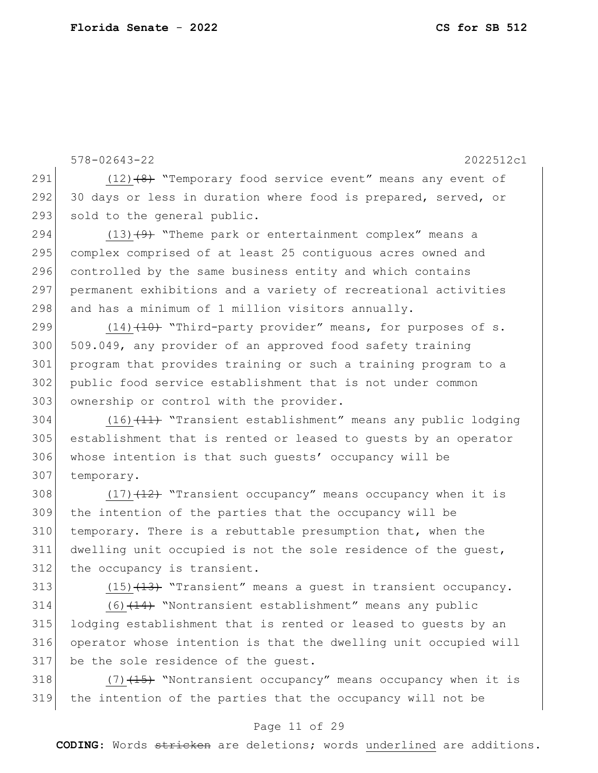578-02643-22 2022512c1  $(12)$   $(8)$  "Temporary food service event" means any event of 292 30 days or less in duration where food is prepared, served, or 293 sold to the general public.  $(13)$   $(9)$  "Theme park or entertainment complex" means a complex comprised of at least 25 contiguous acres owned and 296 controlled by the same business entity and which contains permanent exhibitions and a variety of recreational activities and has a minimum of 1 million visitors annually.  $(14)$   $(14)$  "Third-party provider" means, for purposes of s. 300 509.049, any provider of an approved food safety training program that provides training or such a training program to a public food service establishment that is not under common 303 ownership or control with the provider.  $(16)$   $(11)$  "Transient establishment" means any public lodging establishment that is rented or leased to guests by an operator whose intention is that such guests' occupancy will be 307 temporary. 308 (17) $(17)$  "Transient occupancy" means occupancy when it is the intention of the parties that the occupancy will be 310 temporary. There is a rebuttable presumption that, when the dwelling unit occupied is not the sole residence of the guest, 312 the occupancy is transient.  $(15)$   $(13)$  "Transient" means a quest in transient occupancy. (6)<del>(14)</del> "Nontransient establishment" means any public lodging establishment that is rented or leased to guests by an operator whose intention is that the dwelling unit occupied will

318  $(7)$   $(15)$  "Nontransient occupancy" means occupancy when it is 319 the intention of the parties that the occupancy will not be

317 be the sole residence of the guest.

#### Page 11 of 29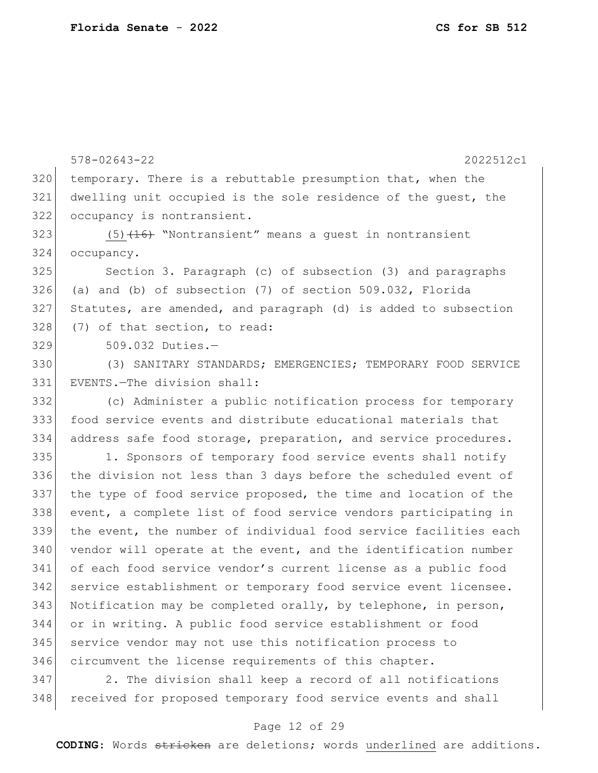578-02643-22 2022512c1 temporary. There is a rebuttable presumption that, when the dwelling unit occupied is the sole residence of the guest, the occupancy is nontransient.  $(5)$   $(16)$  "Nontransient" means a guest in nontransient occupancy. Section 3. Paragraph (c) of subsection (3) and paragraphs (a) and (b) of subsection (7) of section 509.032, Florida Statutes, are amended, and paragraph (d) is added to subsection 328 (7) of that section, to read: 509.032 Duties.— (3) SANITARY STANDARDS; EMERGENCIES; TEMPORARY FOOD SERVICE EVENTS.—The division shall: (c) Administer a public notification process for temporary food service events and distribute educational materials that 334 address safe food storage, preparation, and service procedures. 335 1. Sponsors of temporary food service events shall notify the division not less than 3 days before the scheduled event of the type of food service proposed, the time and location of the event, a complete list of food service vendors participating in the event, the number of individual food service facilities each 340 vendor will operate at the event, and the identification number of each food service vendor's current license as a public food 342 service establishment or temporary food service event licensee. 343 Notification may be completed orally, by telephone, in person, or in writing. A public food service establishment or food 345 service vendor may not use this notification process to circumvent the license requirements of this chapter.

 2. The division shall keep a record of all notifications 348 received for proposed temporary food service events and shall

#### Page 12 of 29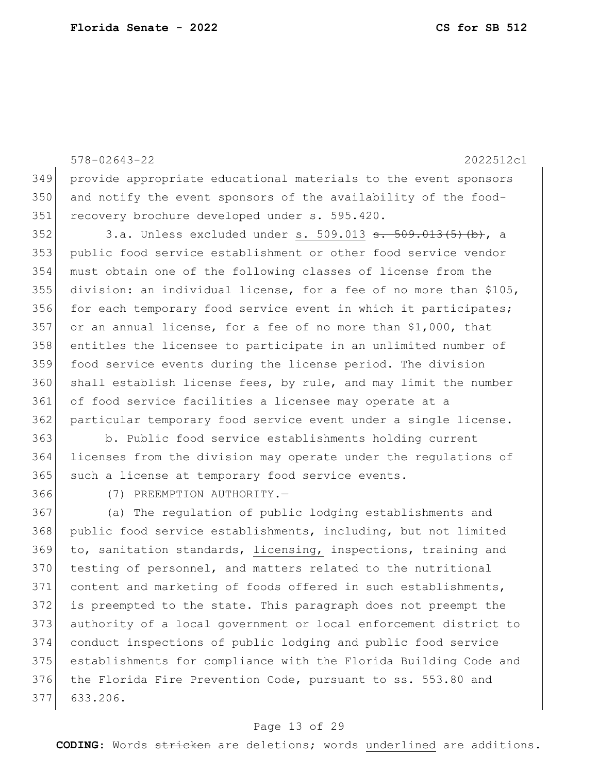578-02643-22 2022512c1 provide appropriate educational materials to the event sponsors and notify the event sponsors of the availability of the food- recovery brochure developed under s. 595.420. 3.a. Unless excluded under s. 509.013 <del>s. 509.013(5)(b)</del>, a public food service establishment or other food service vendor must obtain one of the following classes of license from the division: an individual license, for a fee of no more than \$105, 356 for each temporary food service event in which it participates; 357 or an annual license, for a fee of no more than  $$1,000$ , that entitles the licensee to participate in an unlimited number of food service events during the license period. The division shall establish license fees, by rule, and may limit the number of food service facilities a licensee may operate at a particular temporary food service event under a single license. b. Public food service establishments holding current licenses from the division may operate under the regulations of such a license at temporary food service events. (7) PREEMPTION AUTHORITY.— (a) The regulation of public lodging establishments and public food service establishments, including, but not limited to, sanitation standards, licensing, inspections, training and 370 testing of personnel, and matters related to the nutritional 371 content and marketing of foods offered in such establishments, is preempted to the state. This paragraph does not preempt the authority of a local government or local enforcement district to conduct inspections of public lodging and public food service

 establishments for compliance with the Florida Building Code and 376 the Florida Fire Prevention Code, pursuant to ss. 553.80 and 633.206.

#### Page 13 of 29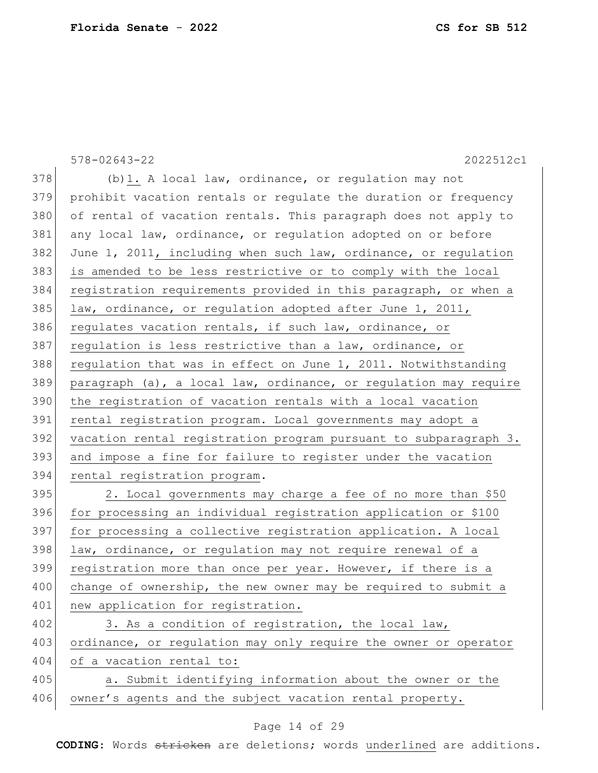|     | $578 - 02643 - 22$<br>2022512c1                                  |
|-----|------------------------------------------------------------------|
| 378 | (b) 1. A local law, ordinance, or regulation may not             |
| 379 | prohibit vacation rentals or regulate the duration or frequency  |
| 380 | of rental of vacation rentals. This paragraph does not apply to  |
| 381 | any local law, ordinance, or regulation adopted on or before     |
| 382 | June 1, 2011, including when such law, ordinance, or regulation  |
| 383 | is amended to be less restrictive or to comply with the local    |
| 384 | registration requirements provided in this paragraph, or when a  |
| 385 | law, ordinance, or regulation adopted after June 1, 2011,        |
| 386 | regulates vacation rentals, if such law, ordinance, or           |
| 387 | regulation is less restrictive than a law, ordinance, or         |
| 388 | regulation that was in effect on June 1, 2011. Notwithstanding   |
| 389 | paragraph (a), a local law, ordinance, or regulation may require |
| 390 | the registration of vacation rentals with a local vacation       |
| 391 | rental registration program. Local governments may adopt a       |
| 392 | vacation rental registration program pursuant to subparagraph 3. |
| 393 | and impose a fine for failure to register under the vacation     |
| 394 | rental registration program.                                     |
| 395 | 2. Local governments may charge a fee of no more than \$50       |
| 396 | for processing an individual registration application or \$100   |
| 397 | for processing a collective registration application. A local    |
| 398 | law, ordinance, or regulation may not require renewal of a       |
| 399 | registration more than once per year. However, if there is a     |
| 400 | change of ownership, the new owner may be required to submit a   |
| 401 | new application for registration.                                |
| 402 | 3. As a condition of registration, the local law,                |
| 403 | ordinance, or regulation may only require the owner or operator  |
| 404 | of a vacation rental to:                                         |
| 405 | a. Submit identifying information about the owner or the         |
| 406 | owner's agents and the subject vacation rental property.         |

# Page 14 of 29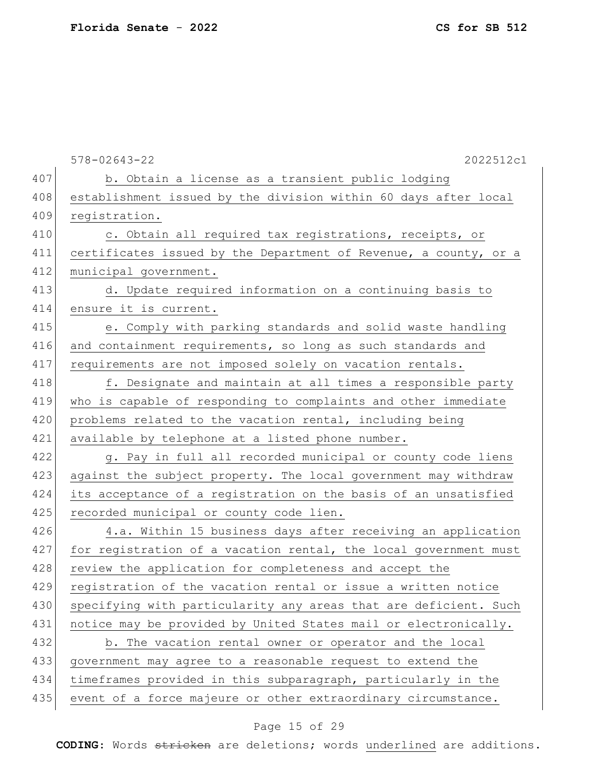|     | $578 - 02643 - 22$<br>2022512c1                                  |
|-----|------------------------------------------------------------------|
| 407 | b. Obtain a license as a transient public lodging                |
| 408 | establishment issued by the division within 60 days after local  |
| 409 | registration.                                                    |
| 410 | c. Obtain all required tax registrations, receipts, or           |
| 411 | certificates issued by the Department of Revenue, a county, or a |
| 412 | municipal government.                                            |
| 413 | d. Update required information on a continuing basis to          |
| 414 | ensure it is current.                                            |
| 415 | e. Comply with parking standards and solid waste handling        |
| 416 | and containment requirements, so long as such standards and      |
| 417 | requirements are not imposed solely on vacation rentals.         |
| 418 | f. Designate and maintain at all times a responsible party       |
| 419 | who is capable of responding to complaints and other immediate   |
| 420 | problems related to the vacation rental, including being         |
| 421 | available by telephone at a listed phone number.                 |
| 422 | g. Pay in full all recorded municipal or county code liens       |
| 423 | against the subject property. The local government may withdraw  |
| 424 | its acceptance of a registration on the basis of an unsatisfied  |
| 425 | recorded municipal or county code lien.                          |
| 426 | 4.a. Within 15 business days after receiving an application      |
| 427 | for registration of a vacation rental, the local government must |
| 428 | review the application for completeness and accept the           |
| 429 | registration of the vacation rental or issue a written notice    |
| 430 | specifying with particularity any areas that are deficient. Such |
| 431 | notice may be provided by United States mail or electronically.  |
| 432 | b. The vacation rental owner or operator and the local           |
| 433 | government may agree to a reasonable request to extend the       |
| 434 | timeframes provided in this subparagraph, particularly in the    |
| 435 | event of a force majeure or other extraordinary circumstance.    |

# Page 15 of 29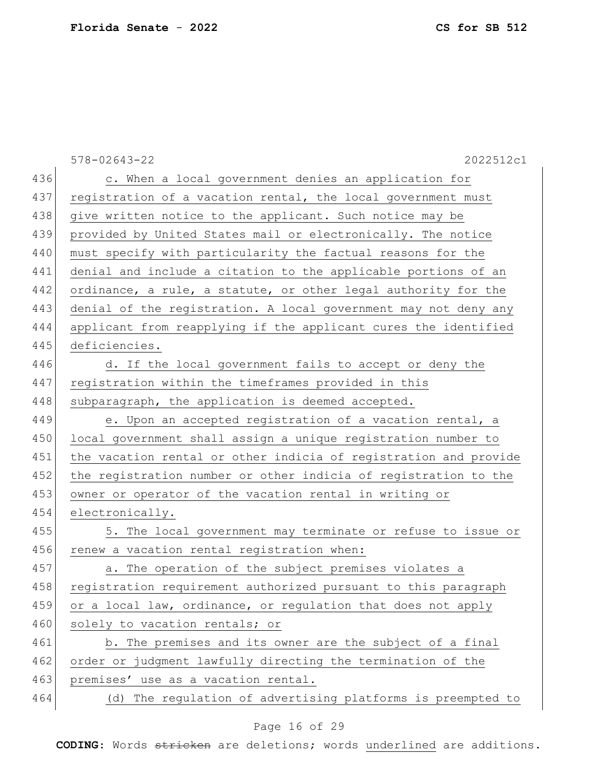|     | 2022512c1<br>$578 - 02643 - 22$                                  |
|-----|------------------------------------------------------------------|
| 436 | c. When a local government denies an application for             |
| 437 | registration of a vacation rental, the local government must     |
| 438 | give written notice to the applicant. Such notice may be         |
| 439 | provided by United States mail or electronically. The notice     |
| 440 | must specify with particularity the factual reasons for the      |
| 441 | denial and include a citation to the applicable portions of an   |
| 442 | ordinance, a rule, a statute, or other legal authority for the   |
| 443 | denial of the registration. A local government may not deny any  |
| 444 | applicant from reapplying if the applicant cures the identified  |
| 445 | deficiencies.                                                    |
| 446 | d. If the local government fails to accept or deny the           |
| 447 | registration within the timeframes provided in this              |
| 448 | subparagraph, the application is deemed accepted.                |
| 449 | e. Upon an accepted registration of a vacation rental, a         |
| 450 | local government shall assign a unique registration number to    |
| 451 | the vacation rental or other indicia of registration and provide |
| 452 | the registration number or other indicia of registration to the  |
| 453 | owner or operator of the vacation rental in writing or           |
| 454 | electronically.                                                  |
| 455 | 5. The local government may terminate or refuse to issue or      |
| 456 | renew a vacation rental registration when:                       |
| 457 | a. The operation of the subject premises violates a              |
| 458 | registration requirement authorized pursuant to this paragraph   |
| 459 | or a local law, ordinance, or regulation that does not apply     |
| 460 | solely to vacation rentals; or                                   |
| 461 | b. The premises and its owner are the subject of a final         |
| 462 | order or judgment lawfully directing the termination of the      |
| 463 | premises' use as a vacation rental.                              |
| 464 | (d) The regulation of advertising platforms is preempted to      |

# Page 16 of 29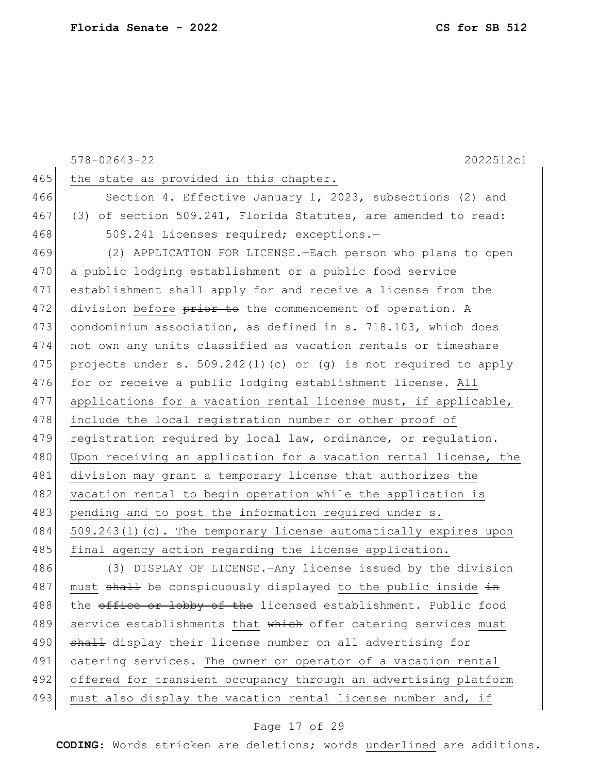|     | $578 - 02643 - 22$<br>2022512c1                                    |
|-----|--------------------------------------------------------------------|
| 465 | the state as provided in this chapter.                             |
| 466 | Section 4. Effective January 1, 2023, subsections (2) and          |
| 467 | (3) of section 509.241, Florida Statutes, are amended to read:     |
| 468 | 509.241 Licenses required; exceptions.-                            |
| 469 | (2) APPLICATION FOR LICENSE.-Each person who plans to open         |
| 470 | a public lodging establishment or a public food service            |
| 471 | establishment shall apply for and receive a license from the       |
| 472 | division before prior to the commencement of operation. A          |
| 473 | condominium association, as defined in s. 718.103, which does      |
| 474 | not own any units classified as vacation rentals or timeshare      |
| 475 | projects under s. 509.242(1)(c) or (q) is not required to apply    |
| 476 | for or receive a public lodging establishment license. All         |
| 477 | applications for a vacation rental license must, if applicable,    |
| 478 | include the local registration number or other proof of            |
| 479 | registration required by local law, ordinance, or regulation.      |
| 480 | Upon receiving an application for a vacation rental license, the   |
| 481 | division may grant a temporary license that authorizes the         |
| 482 | vacation rental to begin operation while the application is        |
| 483 | pending and to post the information required under s.              |
| 484 | $509.243(1)$ (c). The temporary license automatically expires upon |
| 485 | final agency action regarding the license application.             |
| 486 | (3) DISPLAY OF LICENSE. - Any license issued by the division       |
| 487 | must shall be conspicuously displayed to the public inside in      |
| 488 | the office or lobby of the licensed establishment. Public food     |
| 489 | service establishments that which offer catering services must     |
| 490 | shall display their license number on all advertising for          |
| 491 | catering services. The owner or operator of a vacation rental      |
| 492 | offered for transient occupancy through an advertising platform    |
| 493 | must also display the vacation rental license number and, if       |
|     |                                                                    |

# Page 17 of 29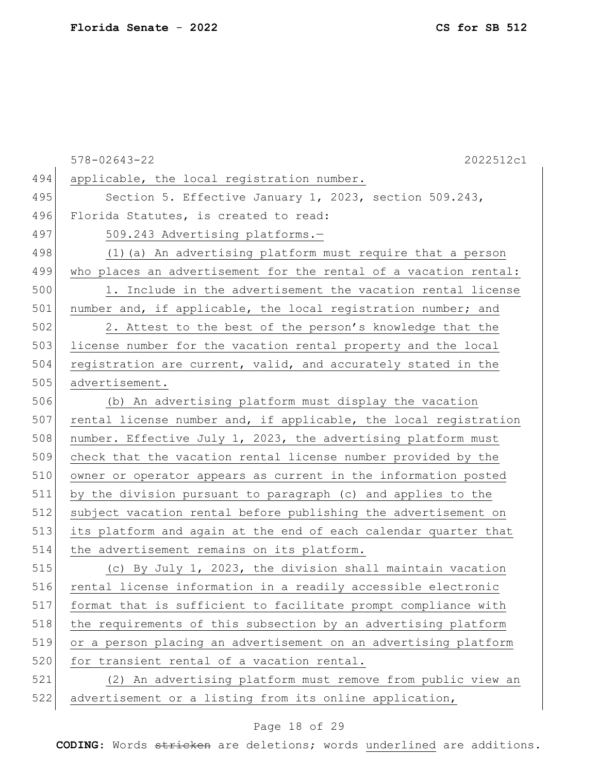578-02643-22 2022512c1 494 applicable, the local registration number. 495 Section 5. Effective January 1, 2023, section 509.243, 496 Florida Statutes, is created to read: 497 509.243 Advertising platforms. 498 (1) (a) An advertising platform must require that a person 499 who places an advertisement for the rental of a vacation rental: 500 1. Include in the advertisement the vacation rental license 501 | number and, if applicable, the local registration number; and 502 2. Attest to the best of the person's knowledge that the 503 license number for the vacation rental property and the local 504 registration are current, valid, and accurately stated in the 505 advertisement. 506 (b) An advertising platform must display the vacation  $507$  rental license number and, if applicable, the local registration 508 number. Effective July 1, 2023, the advertising platform must 509 check that the vacation rental license number provided by the 510 owner or operator appears as current in the information posted 511 by the division pursuant to paragraph (c) and applies to the 512 subject vacation rental before publishing the advertisement on 513 its platform and again at the end of each calendar quarter that 514 the advertisement remains on its platform. 515 (c) By July 1, 2023, the division shall maintain vacation 516 rental license information in a readily accessible electronic 517 format that is sufficient to facilitate prompt compliance with 518 the requirements of this subsection by an advertising platform 519 or a person placing an advertisement on an advertising platform 520 for transient rental of a vacation rental. 521 (2) An advertising platform must remove from public view an 522 advertisement or a listing from its online application,

#### Page 18 of 29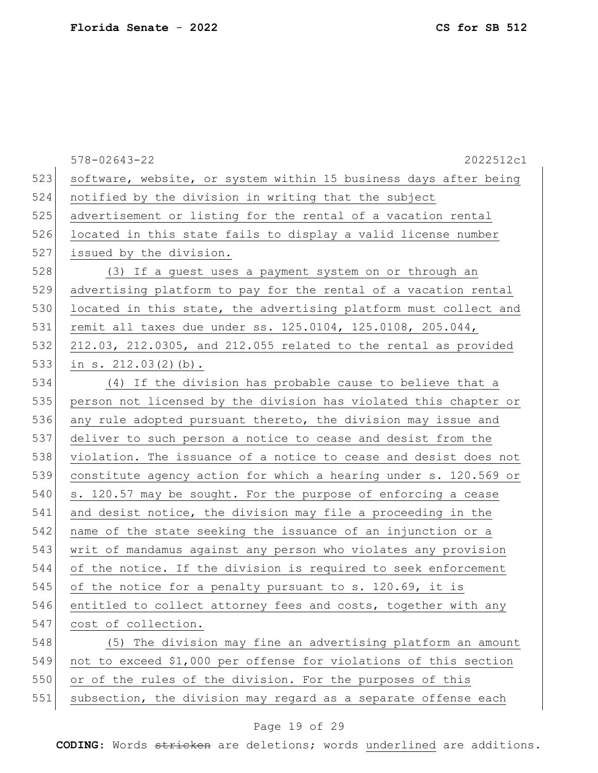578-02643-22 2022512c1 523 software, website, or system within 15 business days after being 524 notified by the division in writing that the subject 525 advertisement or listing for the rental of a vacation rental 526 located in this state fails to display a valid license number 527 issued by the division. 528 (3) If a guest uses a payment system on or through an 529 advertising platform to pay for the rental of a vacation rental 530 located in this state, the advertising platform must collect and 531 remit all taxes due under ss. 125.0104, 125.0108, 205.044, 532 212.03, 212.0305, and 212.055 related to the rental as provided 533 in s. 212.03(2)(b). 534 (4) If the division has probable cause to believe that a 535 person not licensed by the division has violated this chapter or 536 any rule adopted pursuant thereto, the division may issue and 537 deliver to such person a notice to cease and desist from the 538 violation. The issuance of a notice to cease and desist does not 539 constitute agency action for which a hearing under s. 120.569 or 540 s. 120.57 may be sought. For the purpose of enforcing a cease 541 and desist notice, the division may file a proceeding in the 542 name of the state seeking the issuance of an injunction or a 543 writ of mandamus against any person who violates any provision 544 of the notice. If the division is required to seek enforcement 545 of the notice for a penalty pursuant to s. 120.69, it is 546 entitled to collect attorney fees and costs, together with any 547 cost of collection. 548 (5) The division may fine an advertising platform an amount 549 not to exceed \$1,000 per offense for violations of this section 550 or of the rules of the division. For the purposes of this 551 subsection, the division may regard as a separate offense each

#### Page 19 of 29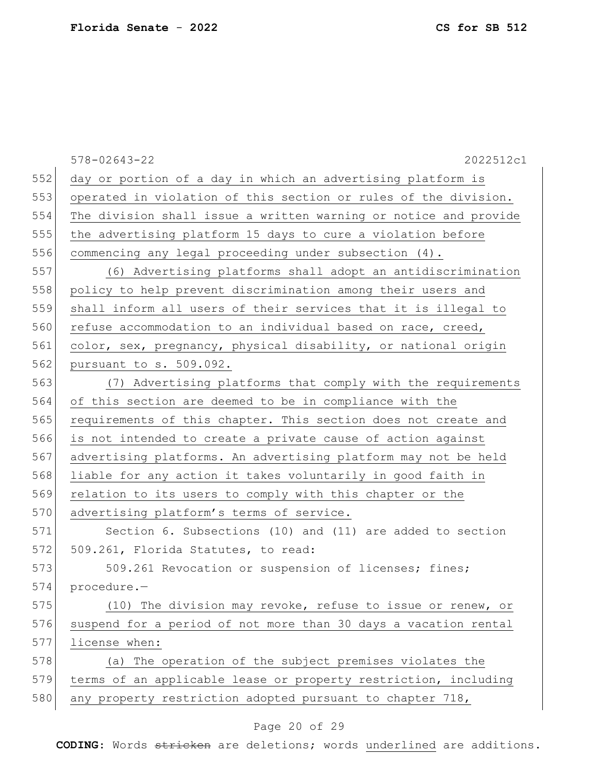|     | $578 - 02643 - 22$<br>2022512c1                                  |
|-----|------------------------------------------------------------------|
| 552 | day or portion of a day in which an advertising platform is      |
| 553 | operated in violation of this section or rules of the division.  |
| 554 | The division shall issue a written warning or notice and provide |
| 555 | the advertising platform 15 days to cure a violation before      |
| 556 | commencing any legal proceeding under subsection (4).            |
| 557 | (6) Advertising platforms shall adopt an antidiscrimination      |
| 558 | policy to help prevent discrimination among their users and      |
| 559 | shall inform all users of their services that it is illegal to   |
| 560 | refuse accommodation to an individual based on race, creed,      |
| 561 | color, sex, pregnancy, physical disability, or national origin   |
| 562 | pursuant to s. 509.092.                                          |
| 563 | (7) Advertising platforms that comply with the requirements      |
| 564 | of this section are deemed to be in compliance with the          |
| 565 | requirements of this chapter. This section does not create and   |
| 566 | is not intended to create a private cause of action against      |
| 567 | advertising platforms. An advertising platform may not be held   |
| 568 | liable for any action it takes voluntarily in good faith in      |
| 569 | relation to its users to comply with this chapter or the         |
| 570 | advertising platform's terms of service.                         |
| 571 | Section 6. Subsections (10) and (11) are added to section        |
| 572 | 509.261, Florida Statutes, to read:                              |
| 573 | 509.261 Revocation or suspension of licenses; fines;             |
| 574 | procedure.-                                                      |
| 575 | (10) The division may revoke, refuse to issue or renew, or       |
| 576 | suspend for a period of not more than 30 days a vacation rental  |
| 577 | license when:                                                    |
| 578 | (a) The operation of the subject premises violates the           |
| 579 | terms of an applicable lease or property restriction, including  |
| 580 | any property restriction adopted pursuant to chapter 718,        |
|     |                                                                  |

# Page 20 of 29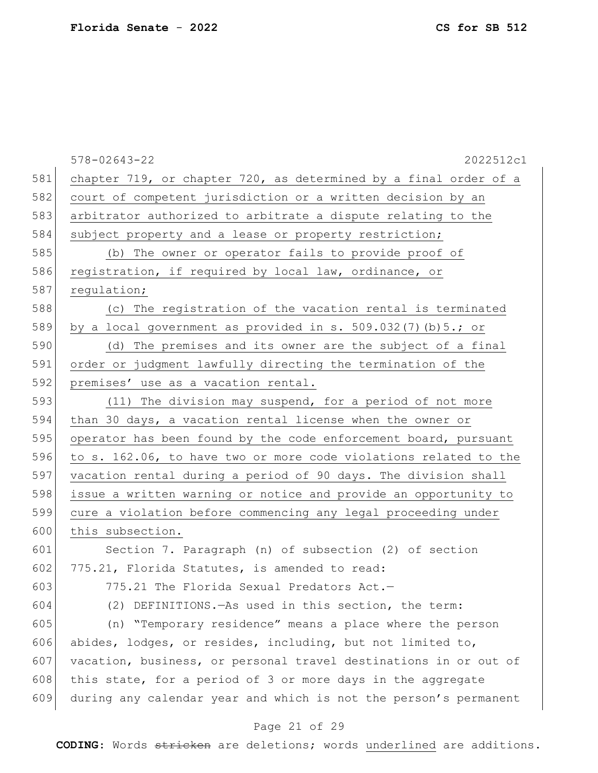578-02643-22 2022512c1 581 chapter 719, or chapter 720, as determined by a final order of a 582 court of competent jurisdiction or a written decision by an 583 arbitrator authorized to arbitrate a dispute relating to the 584 subject property and a lease or property restriction; 585 (b) The owner or operator fails to provide proof of 586 registration, if required by local law, ordinance, or 587 regulation; 588 (c) The registration of the vacation rental is terminated 589 by a local government as provided in s. 509.032(7)(b)  $5.$ ; or 590 (d) The premises and its owner are the subject of a final 591 order or judgment lawfully directing the termination of the 592 premises' use as a vacation rental. 593 (11) The division may suspend, for a period of not more 594 than 30 days, a vacation rental license when the owner or 595 operator has been found by the code enforcement board, pursuant 596 to s. 162.06, to have two or more code violations related to the 597 vacation rental during a period of 90 days. The division shall 598 issue a written warning or notice and provide an opportunity to 599 cure a violation before commencing any legal proceeding under 600 this subsection. 601 Section 7. Paragraph (n) of subsection (2) of section 602 775.21, Florida Statutes, is amended to read: 603  $775.21$  The Florida Sexual Predators Act. -604 (2) DEFINITIONS.—As used in this section, the term: 605 (n) "Temporary residence" means a place where the person 606 abides, lodges, or resides, including, but not limited to, 607 vacation, business, or personal travel destinations in or out of 608 this state, for a period of 3 or more days in the aggregate

#### Page 21 of 29

609 during any calendar year and which is not the person's permanent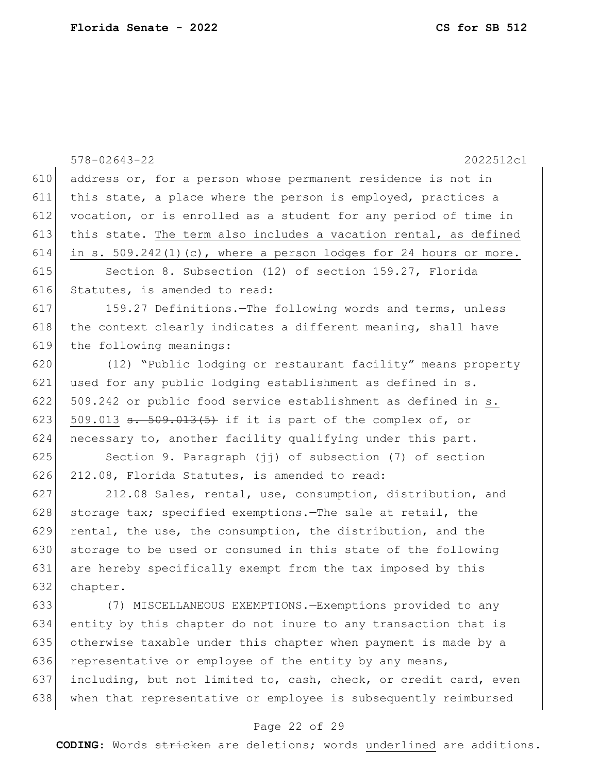|     | $578 - 02643 - 22$<br>2022512c1                                      |
|-----|----------------------------------------------------------------------|
| 610 | address or, for a person whose permanent residence is not in         |
| 611 | this state, a place where the person is employed, practices a        |
| 612 | vocation, or is enrolled as a student for any period of time in      |
| 613 | this state. The term also includes a vacation rental, as defined     |
| 614 | in s. $509.242(1)(c)$ , where a person lodges for 24 hours or more.  |
| 615 | Section 8. Subsection (12) of section 159.27, Florida                |
| 616 | Statutes, is amended to read:                                        |
| 617 | 159.27 Definitions. The following words and terms, unless            |
| 618 | the context clearly indicates a different meaning, shall have        |
| 619 | the following meanings:                                              |
| 620 | (12) "Public lodging or restaurant facility" means property          |
| 621 | used for any public lodging establishment as defined in s.           |
| 622 | 509.242 or public food service establishment as defined in s.        |
| 623 | 509.013 <del>s. 509.013(5)</del> if it is part of the complex of, or |
| 624 | necessary to, another facility qualifying under this part.           |
| 625 | Section 9. Paragraph (jj) of subsection (7) of section               |
| 626 | 212.08, Florida Statutes, is amended to read:                        |
| 627 | 212.08 Sales, rental, use, consumption, distribution, and            |
| 628 | storage tax; specified exemptions. The sale at retail, the           |
| 629 | rental, the use, the consumption, the distribution, and the          |
| 630 | storage to be used or consumed in this state of the following        |
| 631 | are hereby specifically exempt from the tax imposed by this          |
| 632 | chapter.                                                             |
| 633 | (7) MISCELLANEOUS EXEMPTIONS. - Exemptions provided to any           |
| 634 | entity by this chapter do not inure to any transaction that is       |
| 635 | otherwise taxable under this chapter when payment is made by a       |
| 636 | representative or employee of the entity by any means,               |
| 637 | including, but not limited to, cash, check, or credit card, even     |
| 638 | when that representative or employee is subsequently reimbursed      |
|     | Page 22 of 29                                                        |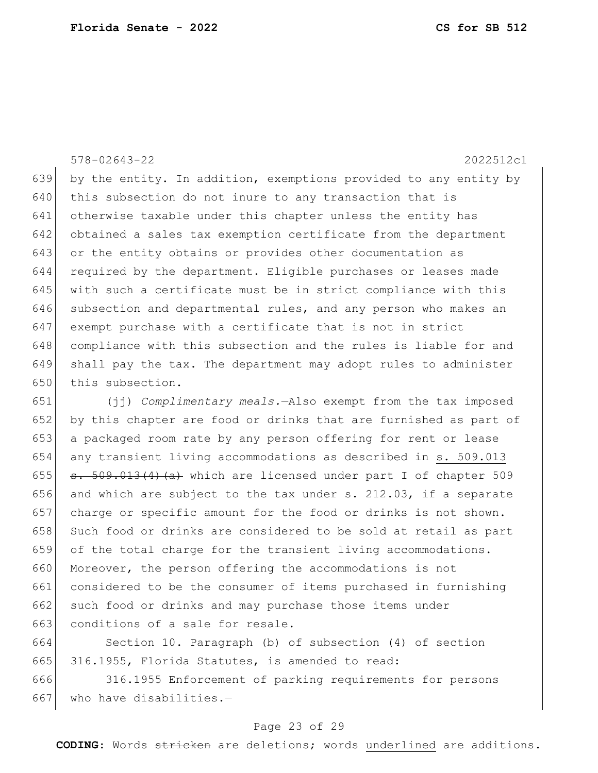578-02643-22 2022512c1 639 by the entity. In addition, exemptions provided to any entity by this subsection do not inure to any transaction that is otherwise taxable under this chapter unless the entity has obtained a sales tax exemption certificate from the department or the entity obtains or provides other documentation as required by the department. Eligible purchases or leases made with such a certificate must be in strict compliance with this 646 subsection and departmental rules, and any person who makes an exempt purchase with a certificate that is not in strict 648 compliance with this subsection and the rules is liable for and shall pay the tax. The department may adopt rules to administer this subsection.

651 (jj) *Complimentary meals.*—Also exempt from the tax imposed 652 by this chapter are food or drinks that are furnished as part of 653 a packaged room rate by any person offering for rent or lease 654 any transient living accommodations as described in s. 509.013 655  $\sigma$  s. 509.013(4)(a) which are licensed under part I of chapter 509 656 and which are subject to the tax under s.  $212.03$ , if a separate 657 charge or specific amount for the food or drinks is not shown. 658 Such food or drinks are considered to be sold at retail as part 659 of the total charge for the transient living accommodations. 660 Moreover, the person offering the accommodations is not 661 considered to be the consumer of items purchased in furnishing 662 such food or drinks and may purchase those items under 663 conditions of a sale for resale.

664 Section 10. Paragraph (b) of subsection (4) of section 665 316.1955, Florida Statutes, is amended to read:

666 316.1955 Enforcement of parking requirements for persons 667 who have disabilities. $-$ 

#### Page 23 of 29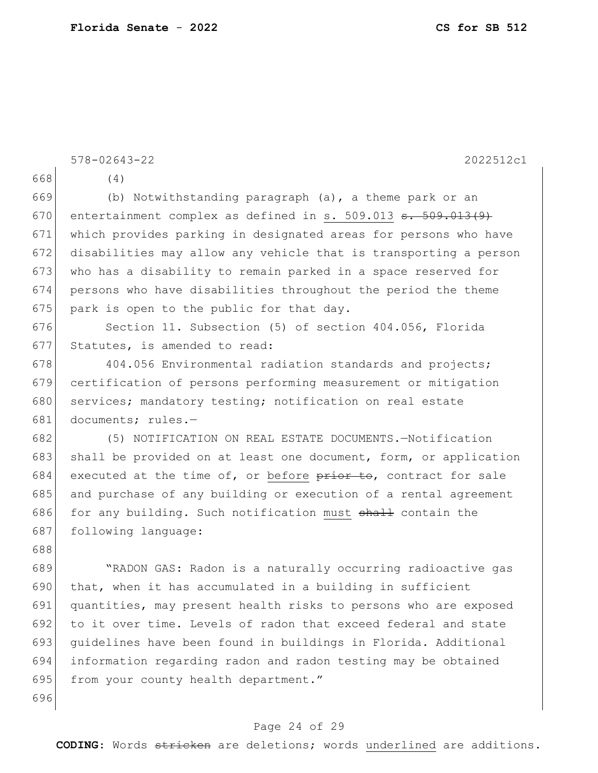| 668<br>(4)<br>669<br>(b) Notwithstanding paragraph (a), a theme park or an<br>670<br>entertainment complex as defined in s. $509.013$ $\texttt{s.}$ $509.013$ (9)<br>671<br>which provides parking in designated areas for persons who have<br>672<br>disabilities may allow any vehicle that is transporting a person<br>673<br>who has a disability to remain parked in a space reserved for |  |
|------------------------------------------------------------------------------------------------------------------------------------------------------------------------------------------------------------------------------------------------------------------------------------------------------------------------------------------------------------------------------------------------|--|
|                                                                                                                                                                                                                                                                                                                                                                                                |  |
|                                                                                                                                                                                                                                                                                                                                                                                                |  |
|                                                                                                                                                                                                                                                                                                                                                                                                |  |
|                                                                                                                                                                                                                                                                                                                                                                                                |  |
|                                                                                                                                                                                                                                                                                                                                                                                                |  |
|                                                                                                                                                                                                                                                                                                                                                                                                |  |
| 674<br>persons who have disabilities throughout the period the theme                                                                                                                                                                                                                                                                                                                           |  |
| 675<br>park is open to the public for that day.                                                                                                                                                                                                                                                                                                                                                |  |
| 676<br>Section 11. Subsection (5) of section 404.056, Florida                                                                                                                                                                                                                                                                                                                                  |  |
| 677<br>Statutes, is amended to read:                                                                                                                                                                                                                                                                                                                                                           |  |
| 678<br>404.056 Environmental radiation standards and projects;                                                                                                                                                                                                                                                                                                                                 |  |
| 679<br>certification of persons performing measurement or mitigation                                                                                                                                                                                                                                                                                                                           |  |
| 680<br>services; mandatory testing; notification on real estate                                                                                                                                                                                                                                                                                                                                |  |
| 681<br>documents; rules.-                                                                                                                                                                                                                                                                                                                                                                      |  |
| 682<br>(5) NOTIFICATION ON REAL ESTATE DOCUMENTS.-Notification                                                                                                                                                                                                                                                                                                                                 |  |
| 683<br>shall be provided on at least one document, form, or application                                                                                                                                                                                                                                                                                                                        |  |
| 684<br>executed at the time of, or before prior to, contract for sale                                                                                                                                                                                                                                                                                                                          |  |
| 685<br>and purchase of any building or execution of a rental agreement                                                                                                                                                                                                                                                                                                                         |  |
| 686<br>for any building. Such notification must shall contain the                                                                                                                                                                                                                                                                                                                              |  |
| 687<br>following language:                                                                                                                                                                                                                                                                                                                                                                     |  |
| 688                                                                                                                                                                                                                                                                                                                                                                                            |  |
| 689<br>"RADON GAS: Radon is a naturally occurring radioactive gas                                                                                                                                                                                                                                                                                                                              |  |
| 690<br>that, when it has accumulated in a building in sufficient                                                                                                                                                                                                                                                                                                                               |  |
| 691<br>quantities, may present health risks to persons who are exposed                                                                                                                                                                                                                                                                                                                         |  |
| 692<br>to it over time. Levels of radon that exceed federal and state                                                                                                                                                                                                                                                                                                                          |  |
| 693<br>quidelines have been found in buildings in Florida. Additional                                                                                                                                                                                                                                                                                                                          |  |
| 694<br>information regarding radon and radon testing may be obtained                                                                                                                                                                                                                                                                                                                           |  |
| 695<br>from your county health department."                                                                                                                                                                                                                                                                                                                                                    |  |
| 696                                                                                                                                                                                                                                                                                                                                                                                            |  |

# Page 24 of 29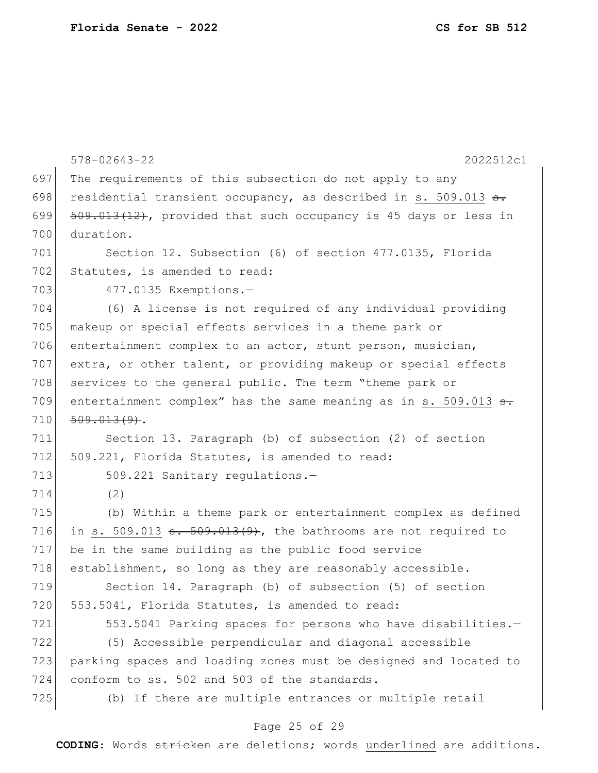|     | $578 - 02643 - 22$<br>2022512c1                                                                           |
|-----|-----------------------------------------------------------------------------------------------------------|
| 697 | The requirements of this subsection do not apply to any                                                   |
| 698 | residential transient occupancy, as described in s. 509.013 s.                                            |
| 699 | 509.013(12), provided that such occupancy is 45 days or less in                                           |
| 700 | duration.                                                                                                 |
| 701 | Section 12. Subsection (6) of section 477.0135, Florida                                                   |
| 702 | Statutes, is amended to read:                                                                             |
| 703 | 477.0135 Exemptions.-                                                                                     |
| 704 | (6) A license is not required of any individual providing                                                 |
| 705 | makeup or special effects services in a theme park or                                                     |
| 706 | entertainment complex to an actor, stunt person, musician,                                                |
| 707 | extra, or other talent, or providing makeup or special effects                                            |
| 708 | services to the general public. The term "theme park or                                                   |
| 709 | entertainment complex" has the same meaning as in s. 509.013 <del>s.</del>                                |
| 710 | $509.013(9)$ .                                                                                            |
| 711 | Section 13. Paragraph (b) of subsection (2) of section                                                    |
| 712 | 509.221, Florida Statutes, is amended to read:                                                            |
| 713 | 509.221 Sanitary regulations.-                                                                            |
| 714 | (2)                                                                                                       |
| 715 | (b) Within a theme park or entertainment complex as defined                                               |
| 716 | in s. 509.013 $\frac{1}{3}$ $\frac{1}{3}$ $\frac{1}{3}$ $\frac{1}{9}$ , the bathrooms are not required to |
| 717 | be in the same building as the public food service                                                        |
| 718 | establishment, so long as they are reasonably accessible.                                                 |
| 719 | Section 14. Paragraph (b) of subsection (5) of section                                                    |
| 720 | 553.5041, Florida Statutes, is amended to read:                                                           |
| 721 | 553.5041 Parking spaces for persons who have disabilities.-                                               |
| 722 | (5) Accessible perpendicular and diagonal accessible                                                      |
| 723 | parking spaces and loading zones must be designed and located to                                          |
| 724 | conform to ss. 502 and 503 of the standards.                                                              |
| 725 | (b) If there are multiple entrances or multiple retail                                                    |
|     |                                                                                                           |

# Page 25 of 29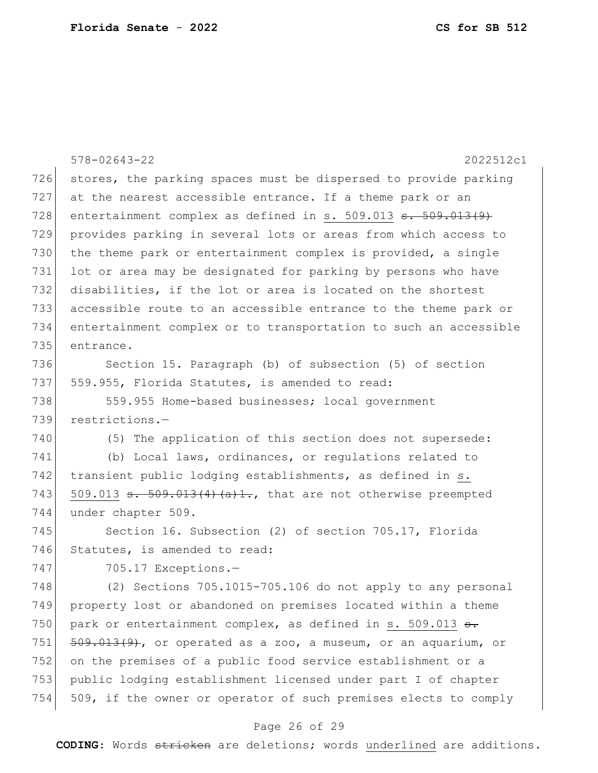|     | $578 - 02643 - 22$<br>2022512c1                                              |
|-----|------------------------------------------------------------------------------|
| 726 | stores, the parking spaces must be dispersed to provide parking              |
| 727 | at the nearest accessible entrance. If a theme park or an                    |
| 728 | entertainment complex as defined in s. $509.013$ $\text{st}$ . $509.013$ (9) |
| 729 | provides parking in several lots or areas from which access to               |
| 730 | the theme park or entertainment complex is provided, a single                |
| 731 | lot or area may be designated for parking by persons who have                |
| 732 | disabilities, if the lot or area is located on the shortest                  |
| 733 | accessible route to an accessible entrance to the theme park or              |
| 734 | entertainment complex or to transportation to such an accessible             |
| 735 | entrance.                                                                    |
| 736 | Section 15. Paragraph (b) of subsection (5) of section                       |
| 737 | 559.955, Florida Statutes, is amended to read:                               |
| 738 | 559.955 Home-based businesses; local government                              |
| 739 | restrictions.-                                                               |
| 740 | (5) The application of this section does not supersede:                      |
| 741 | (b) Local laws, ordinances, or regulations related to                        |
| 742 | transient public lodging establishments, as defined in s.                    |
| 743 | 509.013 $\texttt{s.}$ 509.013(4)(a)1., that are not otherwise preempted      |
| 744 | under chapter 509.                                                           |
| 745 | Section 16. Subsection (2) of section 705.17, Florida                        |
| 746 | Statutes, is amended to read:                                                |
| 747 | 705.17 Exceptions.-                                                          |
| 748 | (2) Sections 705.1015-705.106 do not apply to any personal                   |
| 749 | property lost or abandoned on premises located within a theme                |
| 750 | park or entertainment complex, as defined in s. 509.013 <del>s.</del>        |
| 751 | $509.013(9)$ , or operated as a zoo, a museum, or an aquarium, or            |
| 752 | on the premises of a public food service establishment or a                  |
| 753 | public lodging establishment licensed under part I of chapter                |
| 754 | 509, if the owner or operator of such premises elects to comply              |

# Page 26 of 29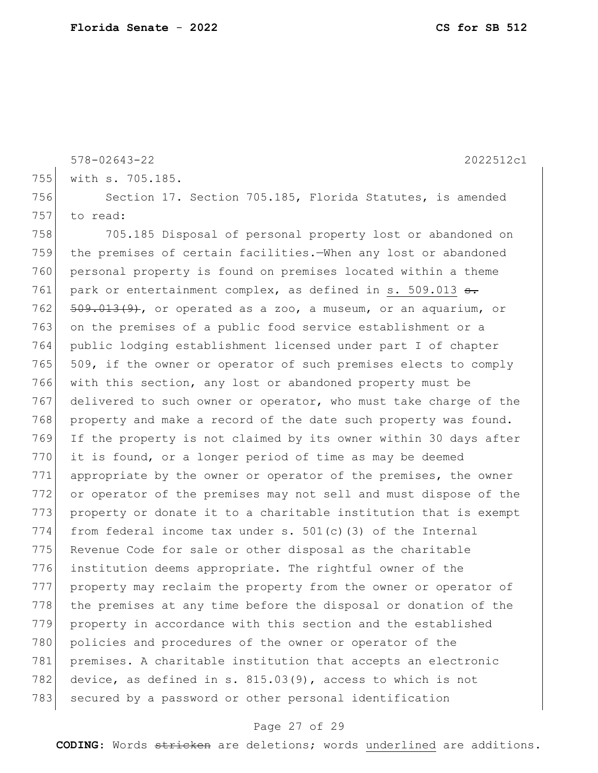```
578-02643-22 2022512c1
755 with s. 705.185.
756 Section 17. Section 705.185, Florida Statutes, is amended
757 to read:
758 705.185 Disposal of personal property lost or abandoned on 
759 the premises of certain facilities.—When any lost or abandoned 
760 personal property is found on premises located within a theme 
761 park or entertainment complex, as defined in s. 509.013 \frac{1}{3}.
762 509.013(9), or operated as a zoo, a museum, or an aquarium, or
763 on the premises of a public food service establishment or a 
764 public lodging establishment licensed under part I of chapter 
765 509, if the owner or operator of such premises elects to comply
766 with this section, any lost or abandoned property must be 
767 delivered to such owner or operator, who must take charge of the
768 property and make a record of the date such property was found.
769 If the property is not claimed by its owner within 30 days after 
770 it is found, or a longer period of time as may be deemed
771 appropriate by the owner or operator of the premises, the owner
772 or operator of the premises may not sell and must dispose of the 
773 property or donate it to a charitable institution that is exempt
774 from federal income tax under s. 501(c) (3) of the Internal
775 Revenue Code for sale or other disposal as the charitable
776 institution deems appropriate. The rightful owner of the 
777 property may reclaim the property from the owner or operator of 
778 the premises at any time before the disposal or donation of the
779 property in accordance with this section and the established
780 policies and procedures of the owner or operator of the
781 premises. A charitable institution that accepts an electronic 
782 device, as defined in s. 815.03(9), access to which is not
783 secured by a password or other personal identification
```
#### Page 27 of 29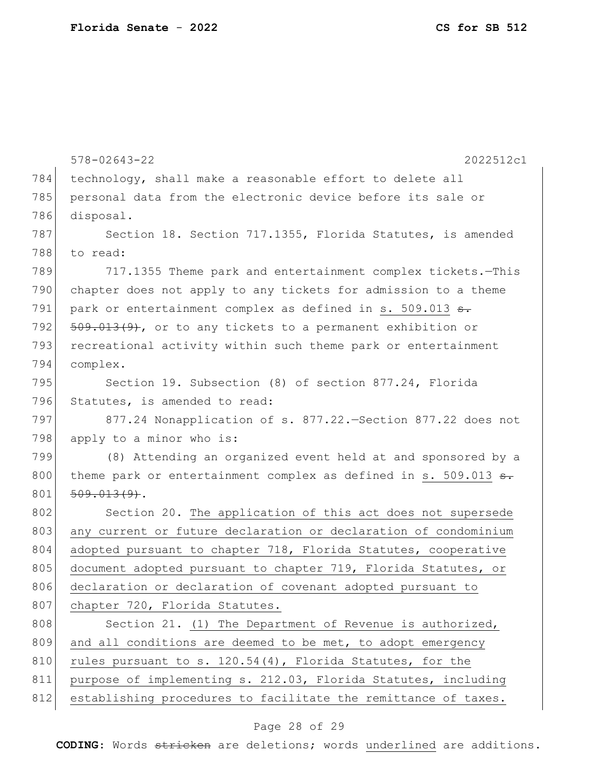578-02643-22 2022512c1 784 technology, shall make a reasonable effort to delete all 785 personal data from the electronic device before its sale or 786 disposal. 787 Section 18. Section 717.1355, Florida Statutes, is amended 788 to read: 789 717.1355 Theme park and entertainment complex tickets.—This 790 chapter does not apply to any tickets for admission to a theme 791 park or entertainment complex as defined in s. 509.013  $\sigma$ . 792  $509.013(9)$ , or to any tickets to a permanent exhibition or 793 recreational activity within such theme park or entertainment 794 complex. 795 Section 19. Subsection (8) of section 877.24, Florida 796 Statutes, is amended to read: 797 877.24 Nonapplication of s. 877.22.—Section 877.22 does not 798 apply to a minor who is: 799 (8) Attending an organized event held at and sponsored by a 800 theme park or entertainment complex as defined in s. 509.013  $\theta$ .  $801 \mid 509.013(9)$ . 802 Section 20. The application of this act does not supersede 803 any current or future declaration or declaration of condominium 804 adopted pursuant to chapter 718, Florida Statutes, cooperative 805 document adopted pursuant to chapter 719, Florida Statutes, or 806 declaration or declaration of covenant adopted pursuant to 807 chapter 720, Florida Statutes. 808 Section 21. (1) The Department of Revenue is authorized, 809 and all conditions are deemed to be met, to adopt emergency 810 rules pursuant to s.  $120.54(4)$ , Florida Statutes, for the 811 purpose of implementing s. 212.03, Florida Statutes, including 812 establishing procedures to facilitate the remittance of taxes.

#### Page 28 of 29